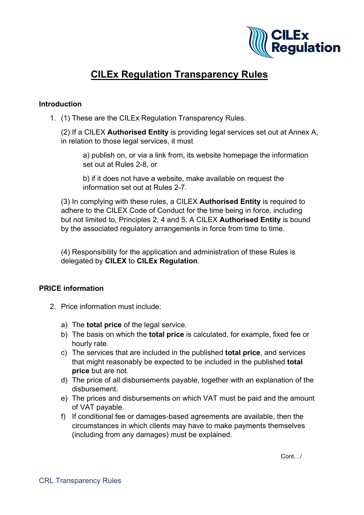

# **CILEx Regulation Transparency Rules**

#### **Introduction**

1. (1) These are the CILEx Regulation Transparency Rules.

(2) If a CILEX **Authorised Entity** is providing legal services set out at Annex A, in relation to those legal services, it must

a) publish on, or via a link from, its website homepage the information set out at Rules 2-8, or

b) if it does not have a website, make available on request the information set out at Rules 2-7.

(3) In complying with these rules, a CILEX **Authorised Entity** is required to adhere to the CILEX Code of Conduct for the time being in force, including but not limited to, Principles 2, 4 and 5. A CILEX **Authorised Entity** is bound by the associated regulatory arrangements in force from time to time.

(4) Responsibility for the application and administration of these Rules is delegated by **CILEX** to **CILEx Regulation**.

# **PRICE information**

- 2. Price information must include:
	- a) The **total price** of the legal service.
	- b) The basis on which the **total price** is calculated, for example, fixed fee or hourly rate.
	- c) The services that are included in the published **total price**, and services that might reasonably be expected to be included in the published **total price** but are not.
	- d) The price of all disbursements payable, together with an explanation of the disbursement.
	- e) The prices and disbursements on which VAT must be paid and the amount of VAT payable.
	- f) If conditional fee or damages-based agreements are available, then the circumstances in which clients may have to make payments themselves (including from any damages) must be explained.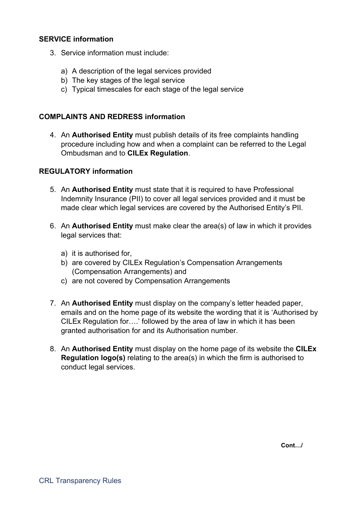#### **SERVICE information**

- 3. Service information must include:
	- a) A description of the legal services provided
	- b) The key stages of the legal service
	- c) Typical timescales for each stage of the legal service

#### **COMPLAINTS AND REDRESS information**

4. An **Authorised Entity** must publish details of its free complaints handling procedure including how and when a complaint can be referred to the Legal Ombudsman and to **CILEx Regulation**.

## **REGULATORY information**

- 5. An **Authorised Entity** must state that it is required to have Professional Indemnity Insurance (PII) to cover all legal services provided and it must be made clear which legal services are covered by the Authorised Entity's PII.
- 6. An **Authorised Entity** must make clear the area(s) of law in which it provides legal services that:
	- a) it is authorised for,
	- b) are covered by CILEx Regulation's Compensation Arrangements (Compensation Arrangements) and
	- c) are not covered by Compensation Arrangements
- 7. An **Authorised Entity** must display on the company's letter headed paper, emails and on the home page of its website the wording that it is 'Authorised by CILEx Regulation for….' followed by the area of law in which it has been granted authorisation for and its Authorisation number.
- 8. An **Authorised Entity** must display on the home page of its website the **CILEx Regulation logo(s)** relating to the area(s) in which the firm is authorised to conduct legal services.

**Cont…/**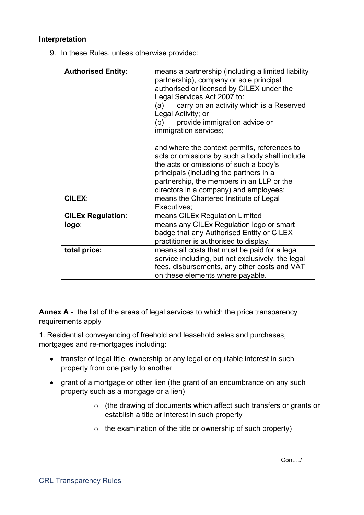## **Interpretation**

9. In these Rules, unless otherwise provided:

| <b>Authorised Entity:</b> | means a partnership (including a limited liability<br>partnership), company or sole principal<br>authorised or licensed by CILEX under the<br>Legal Services Act 2007 to:<br>(a) carry on an activity which is a Reserved<br>Legal Activity; or<br>(b) provide immigration advice or<br>immigration services;<br>and where the context permits, references to<br>acts or omissions by such a body shall include<br>the acts or omissions of such a body's<br>principals (including the partners in a<br>partnership, the members in an LLP or the<br>directors in a company) and employees; |
|---------------------------|---------------------------------------------------------------------------------------------------------------------------------------------------------------------------------------------------------------------------------------------------------------------------------------------------------------------------------------------------------------------------------------------------------------------------------------------------------------------------------------------------------------------------------------------------------------------------------------------|
| <b>CILEX:</b>             | means the Chartered Institute of Legal<br>Executives;                                                                                                                                                                                                                                                                                                                                                                                                                                                                                                                                       |
| <b>CILEx Regulation:</b>  | means CILEx Regulation Limited                                                                                                                                                                                                                                                                                                                                                                                                                                                                                                                                                              |
| logo:                     | means any CILEx Regulation logo or smart<br>badge that any Authorised Entity or CILEX<br>practitioner is authorised to display.                                                                                                                                                                                                                                                                                                                                                                                                                                                             |
| total price:              | means all costs that must be paid for a legal<br>service including, but not exclusively, the legal<br>fees, disbursements, any other costs and VAT<br>on these elements where payable.                                                                                                                                                                                                                                                                                                                                                                                                      |

**Annex A -** the list of the areas of legal services to which the price transparency requirements apply

1. Residential conveyancing of freehold and leasehold sales and purchases, mortgages and re-mortgages including:

- transfer of legal title, ownership or any legal or equitable interest in such property from one party to another
- grant of a mortgage or other lien (the grant of an encumbrance on any such property such as a mortgage or a lien)
	- o (the drawing of documents which affect such transfers or grants or establish a title or interest in such property
	- $\circ$  the examination of the title or ownership of such property)